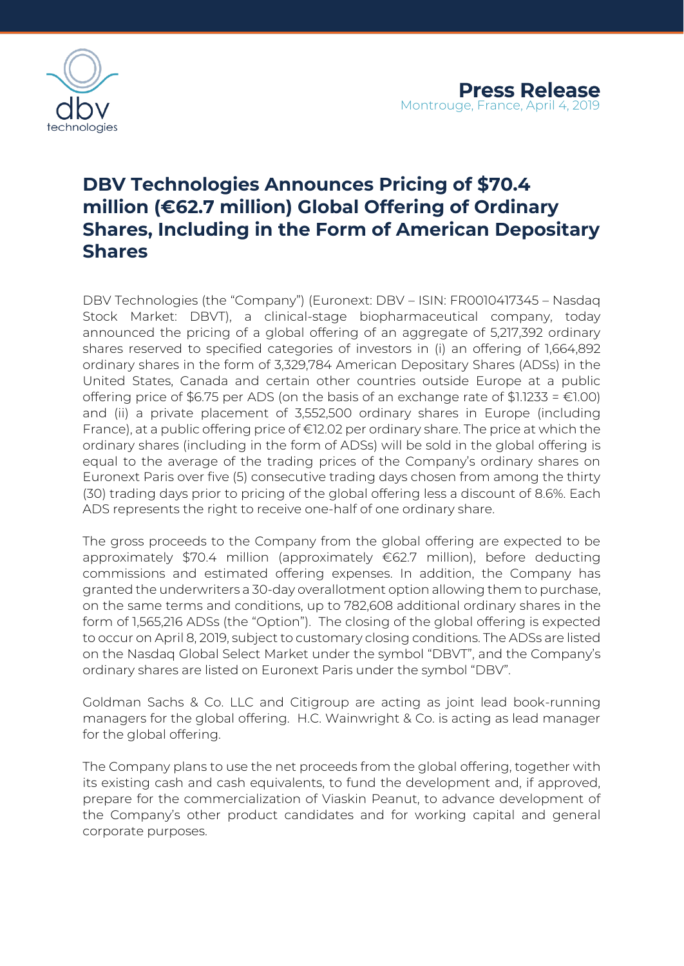

# **DBV Technologies Announces Pricing of \$70.4 million (€62.7 million) Global Offering of Ordinary Shares, Including in the Form of American Depositary Shares**

DBV Technologies (the "Company") (Euronext: DBV – ISIN: FR0010417345 – Nasdaq Stock Market: DBVT), a clinical-stage biopharmaceutical company, today announced the pricing of a global offering of an aggregate of 5,217,392 ordinary shares reserved to specified categories of investors in (i) an offering of 1,664,892 ordinary shares in the form of 3,329,784 American Depositary Shares (ADSs) in the United States, Canada and certain other countries outside Europe at a public offering price of \$6.75 per ADS (on the basis of an exchange rate of \$1.1233 =  $\epsilon$ 1.00) and (ii) a private placement of 3,552,500 ordinary shares in Europe (including France), at a public offering price of  $\epsilon$ 12.02 per ordinary share. The price at which the ordinary shares (including in the form of ADSs) will be sold in the global offering is equal to the average of the trading prices of the Company's ordinary shares on Euronext Paris over five (5) consecutive trading days chosen from among the thirty (30) trading days prior to pricing of the global offering less a discount of 8.6%. Each ADS represents the right to receive one-half of one ordinary share.

The gross proceeds to the Company from the global offering are expected to be approximately \$70.4 million (approximately €62.7 million), before deducting commissions and estimated offering expenses. In addition, the Company has granted the underwriters a 30-day overallotment option allowing them to purchase, on the same terms and conditions, up to 782,608 additional ordinary shares in the form of 1,565,216 ADSs (the "Option"). The closing of the global offering is expected to occur on April 8, 2019, subject to customary closing conditions. The ADSs are listed on the Nasdaq Global Select Market under the symbol "DBVT", and the Company's ordinary shares are listed on Euronext Paris under the symbol "DBV".

Goldman Sachs & Co. LLC and Citigroup are acting as joint lead book-running managers for the global offering. H.C. Wainwright & Co. is acting as lead manager for the global offering.

The Company plans to use the net proceeds from the global offering, together with its existing cash and cash equivalents, to fund the development and, if approved, prepare for the commercialization of Viaskin Peanut, to advance development of the Company's other product candidates and for working capital and general corporate purposes.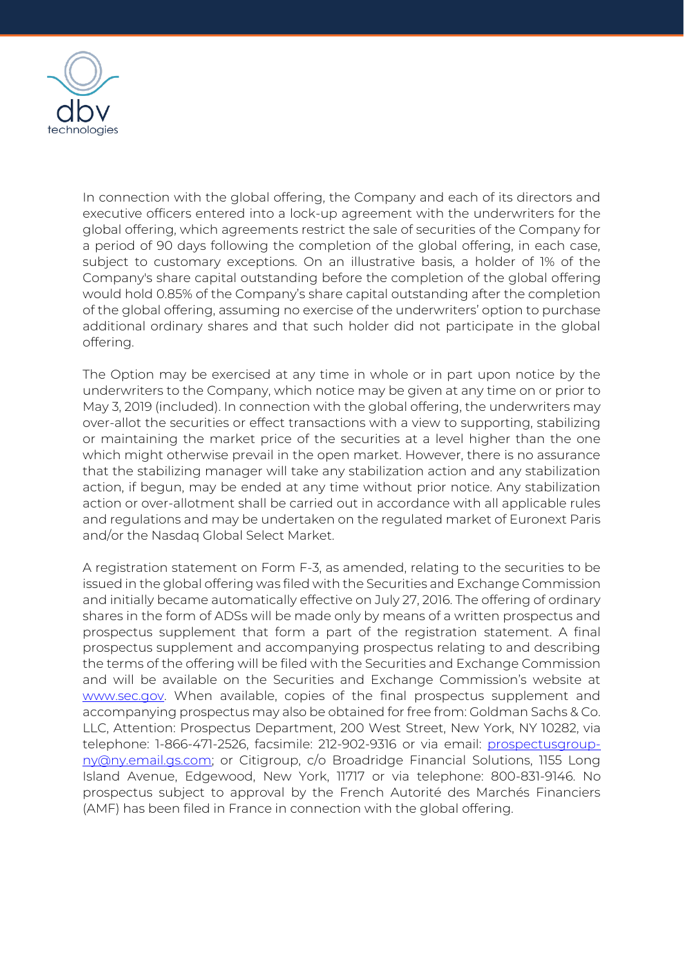

In connection with the global offering, the Company and each of its directors and executive officers entered into a lock-up agreement with the underwriters for the global offering, which agreements restrict the sale of securities of the Company for a period of 90 days following the completion of the global offering, in each case, subject to customary exceptions. On an illustrative basis, a holder of 1% of the Company's share capital outstanding before the completion of the global offering would hold 0.85% of the Company's share capital outstanding after the completion of the global offering, assuming no exercise of the underwriters' option to purchase additional ordinary shares and that such holder did not participate in the global offering.

The Option may be exercised at any time in whole or in part upon notice by the underwriters to the Company, which notice may be given at any time on or prior to May 3, 2019 (included). In connection with the global offering, the underwriters may over-allot the securities or effect transactions with a view to supporting, stabilizing or maintaining the market price of the securities at a level higher than the one which might otherwise prevail in the open market. However, there is no assurance that the stabilizing manager will take any stabilization action and any stabilization action, if begun, may be ended at any time without prior notice. Any stabilization action or over-allotment shall be carried out in accordance with all applicable rules and regulations and may be undertaken on the regulated market of Euronext Paris and/or the Nasdaq Global Select Market.

A registration statement on Form F-3, as amended, relating to the securities to be issued in the global offering was filed with the Securities and Exchange Commission and initially became automatically effective on July 27, 2016. The offering of ordinary shares in the form of ADSs will be made only by means of a written prospectus and prospectus supplement that form a part of the registration statement. A final prospectus supplement and accompanying prospectus relating to and describing the terms of the offering will be filed with the Securities and Exchange Commission and will be available on the Securities and Exchange Commission's website at [www.sec.gov.](http://www.sec.gov/) When available, copies of the final prospectus supplement and accompanying prospectus may also be obtained for free from: Goldman Sachs & Co. LLC, Attention: Prospectus Department, 200 West Street, New York, NY 10282, via telephone: 1-866-471-2526, facsimile: 212-902-9316 or via email: [prospectusgroup](mailto:prospectusgroup-ny@ny.email.gs.com)[ny@ny.email.gs.com;](mailto:prospectusgroup-ny@ny.email.gs.com) or Citigroup, c/o Broadridge Financial Solutions, 1155 Long Island Avenue, Edgewood, New York, 11717 or via telephone: 800-831-9146. No prospectus subject to approval by the French Autorité des Marchés Financiers (AMF) has been filed in France in connection with the global offering.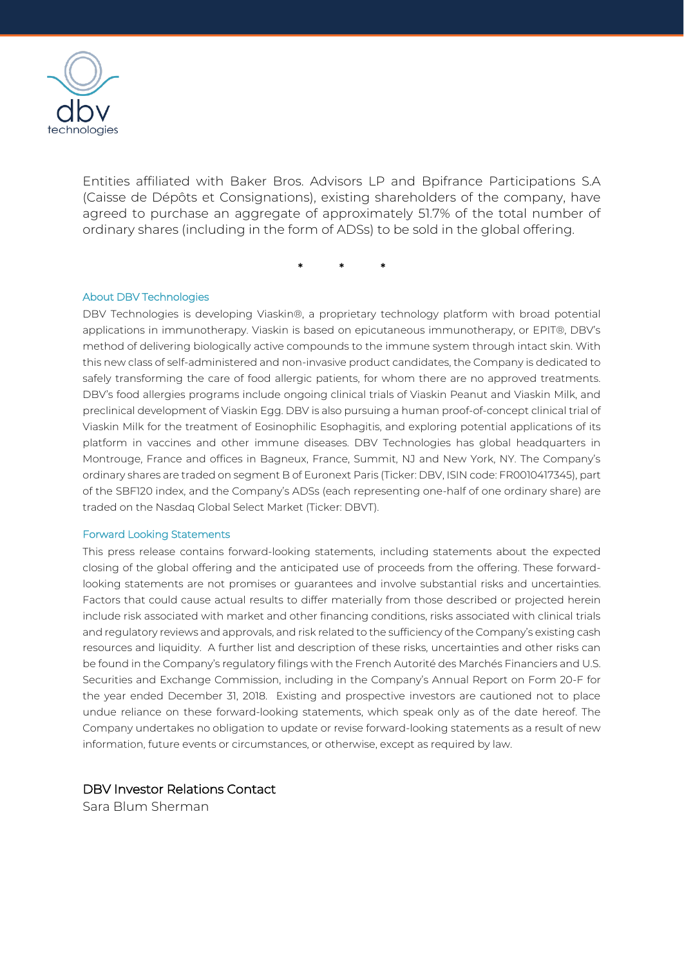

Entities affiliated with Baker Bros. Advisors LP and Bpifrance Participations S.A (Caisse de Dépôts et Consignations), existing shareholders of the company, have agreed to purchase an aggregate of approximately 51.7% of the total number of ordinary shares (including in the form of ADSs) to be sold in the global offering.

**\* \* \***

### About DBV Technologies

DBV Technologies is developing Viaskin®, a proprietary technology platform with broad potential applications in immunotherapy. Viaskin is based on epicutaneous immunotherapy, or EPIT®, DBV's method of delivering biologically active compounds to the immune system through intact skin. With this new class of self-administered and non-invasive product candidates, the Company is dedicated to safely transforming the care of food allergic patients, for whom there are no approved treatments. DBV's food allergies programs include ongoing clinical trials of Viaskin Peanut and Viaskin Milk, and preclinical development of Viaskin Egg. DBV is also pursuing a human proof-of-concept clinical trial of Viaskin Milk for the treatment of Eosinophilic Esophagitis, and exploring potential applications of its platform in vaccines and other immune diseases. DBV Technologies has global headquarters in Montrouge, France and offices in Bagneux, France, Summit, NJ and New York, NY. The Company's ordinary shares are traded on segment B of Euronext Paris (Ticker: DBV, ISIN code: FR0010417345), part of the SBF120 index, and the Company's ADSs (each representing one-half of one ordinary share) are traded on the Nasdaq Global Select Market (Ticker: DBVT).

### Forward Looking Statements

This press release contains forward-looking statements, including statements about the expected closing of the global offering and the anticipated use of proceeds from the offering. These forwardlooking statements are not promises or guarantees and involve substantial risks and uncertainties. Factors that could cause actual results to differ materially from those described or projected herein include risk associated with market and other financing conditions, risks associated with clinical trials and regulatory reviews and approvals, and risk related to the sufficiency of the Company's existing cash resources and liquidity. A further list and description of these risks, uncertainties and other risks can be found in the Company's regulatory filings with the French Autorité des Marchés Financiers and U.S. Securities and Exchange Commission, including in the Company's Annual Report on Form 20-F for the year ended December 31, 2018. Existing and prospective investors are cautioned not to place undue reliance on these forward-looking statements, which speak only as of the date hereof. The Company undertakes no obligation to update or revise forward-looking statements as a result of new information, future events or circumstances, or otherwise, except as required by law.

## DBV Investor Relations Contact

Sara Blum Sherman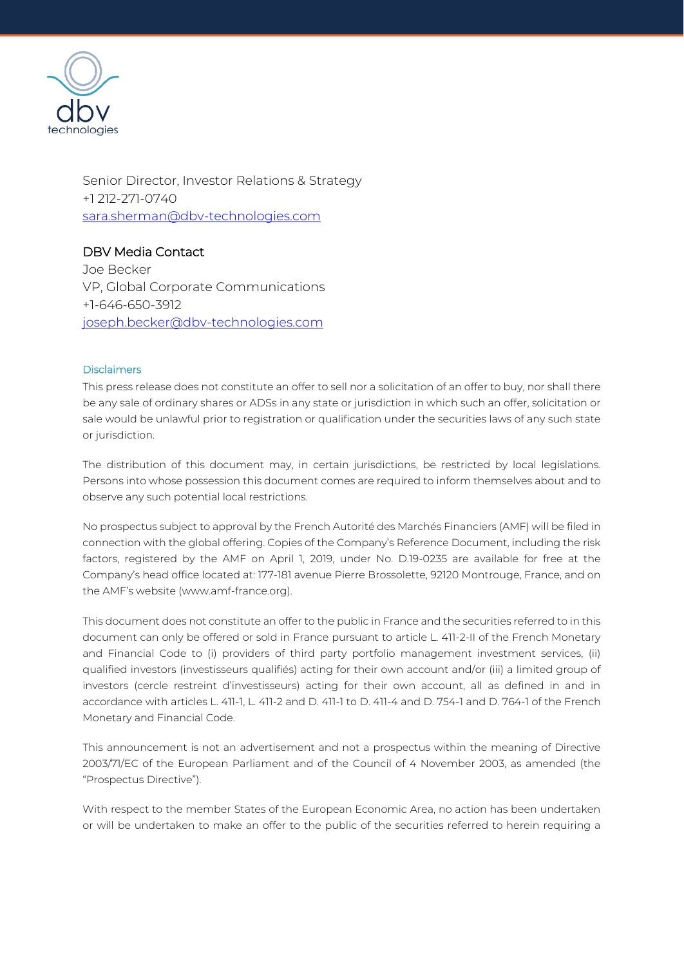

Senior Director, Investor Relations & Strategy +1 212-271-0740 [sara.sherman@dbv-technologies.com](mailto:sara.sherman@dbv-technologies.com)

## DBV Media Contact

Joe Becker VP, Global Corporate Communications +1-646-650-3912 joseph.becker@dbv-technologies.com

## **Disclaimers**

This press release does not constitute an offer to sell nor a solicitation of an offer to buy, nor shall there be any sale of ordinary shares or ADSs in any state or jurisdiction in which such an offer, solicitation or sale would be unlawful prior to registration or qualification under the securities laws of any such state or jurisdiction.

The distribution of this document may, in certain jurisdictions, be restricted by local legislations. Persons into whose possession this document comes are required to inform themselves about and to observe any such potential local restrictions.

No prospectus subject to approval by the French Autorité des Marchés Financiers (AMF) will be filed in connection with the global offering. Copies of the Company's Reference Document, including the risk factors, registered by the AMF on April 1, 2019, under No. D.19-0235 are available for free at the Company's head office located at: 177-181 avenue Pierre Brossolette, 92120 Montrouge, France, and on the AMF's website ([www.amf-france.org\)](http://www.amf-france.org/).

This document does not constitute an offer to the public in France and the securities referred to in this document can only be offered or sold in France pursuant to article L. 411-2-II of the French Monetary and Financial Code to (i) providers of third party portfolio management investment services, (ii) qualified investors (investisseurs qualifiés) acting for their own account and/or (iii) a limited group of investors (cercle restreint d'investisseurs) acting for their own account, all as defined in and in accordance with articles L. 411-1, L. 411-2 and D. 411-1 to D. 411-4 and D. 754-1 and D. 764-1 of the French Monetary and Financial Code.

This announcement is not an advertisement and not a prospectus within the meaning of Directive 2003/71/EC of the European Parliament and of the Council of 4 November 2003, as amended (the "Prospectus Directive").

With respect to the member States of the European Economic Area, no action has been undertaken or will be undertaken to make an offer to the public of the securities referred to herein requiring a